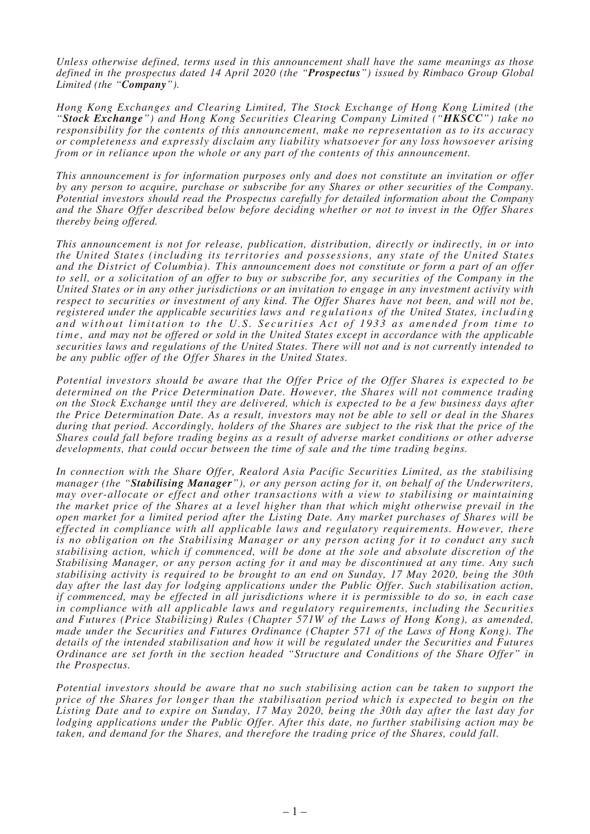*Unless otherwise defined, terms used in this announcement shall have the same meanings as those defined in the prospectus dated 14 April 2020 (the "Prospectus") issued by Rimbaco Group Global Limited (the "Company").*

*Hong Kong Exchanges and Clearing Limited, The Stock Exchange of Hong Kong Limited (the "Stock Exchange") and Hong Kong Securities Clearing Company Limited ("HKSCC") take no responsibility for the contents of this announcement, make no representation as to its accuracy or completeness and expressly disclaim any liability whatsoever for any loss howsoever arising from or in reliance upon the whole or any part of the contents of this announcement.*

*This announcement is for information purposes only and does not constitute an invitation or offer by any person to acquire, purchase or subscribe for any Shares or other securities of the Company. Potential investors should read the Prospectus carefully for detailed information about the Company and the Share Offer described below before deciding whether or not to invest in the Offer Shares thereby being offered.*

*This announcement is not for release, publication, distribution, directly or indirectly, in or into the United States (including its territories and possessions, any state of the United States and the District of Columbia). This announcement does not constitute or form a part of an offer to sell, or a solicitation of an offer to buy or subscribe for, any securities of the Company in the United States or in any other jurisdictions or an invitation to engage in any investment activity with respect to securities or investment of any kind. The Offer Shares have not been, and will not be, registered under the applicable securities laws and regulations of the United States, including and without limitation to the U.S. Securities Act of 1933 as amended from time to time, and may not be offered or sold in the United States except in accordance with the applicable securities laws and regulations of the United States. There will not and is not currently intended to be any public offer of the Offer Shares in the United States.*

*Potential investors should be aware that the Offer Price of the Offer Shares is expected to be determined on the Price Determination Date. However, the Shares will not commence trading on the Stock Exchange until they are delivered, which is expected to be a few business days after the Price Determination Date. As a result, investors may not be able to sell or deal in the Shares during that period. Accordingly, holders of the Shares are subject to the risk that the price of the Shares could fall before trading begins as a result of adverse market conditions or other adverse developments, that could occur between the time of sale and the time trading begins.*

*In connection with the Share Offer, Realord Asia Pacific Securities Limited, as the stabilising manager (the "Stabilising Manager"), or any person acting for it, on behalf of the Underwriters, may over-allocate or effect and other transactions with a view to stabilising or maintaining the market price of the Shares at a level higher than that which might otherwise prevail in the open market for a limited period after the Listing Date. Any market purchases of Shares will be effected in compliance with all applicable laws and regulatory requirements. However, there is no obligation on the Stabilising Manager or any person acting for it to conduct any such stabilising action, which if commenced, will be done at the sole and absolute discretion of the Stabilising Manager, or any person acting for it and may be discontinued at any time. Any such stabilising activity is required to be brought to an end on Sunday, 17 May 2020, being the 30th day after the last day for lodging applications under the Public Offer. Such stabilisation action, if commenced, may be effected in all jurisdictions where it is permissible to do so, in each case in compliance with all applicable laws and regulatory requirements, including the Securities and Futures (Price Stabilizing) Rules (Chapter 571W of the Laws of Hong Kong), as amended, made under the Securities and Futures Ordinance (Chapter 571 of the Laws of Hong Kong). The details of the intended stabilisation and how it will be regulated under the Securities and Futures Ordinance are set forth in the section headed "Structure and Conditions of the Share Offer" in the Prospectus.*

*Potential investors should be aware that no such stabilising action can be taken to support the price of the Shares for longer than the stabilisation period which is expected to begin on the Listing Date and to expire on Sunday, 17 May 2020, being the 30th day after the last day for lodging applications under the Public Offer. After this date, no further stabilising action may be taken, and demand for the Shares, and therefore the trading price of the Shares, could fall.*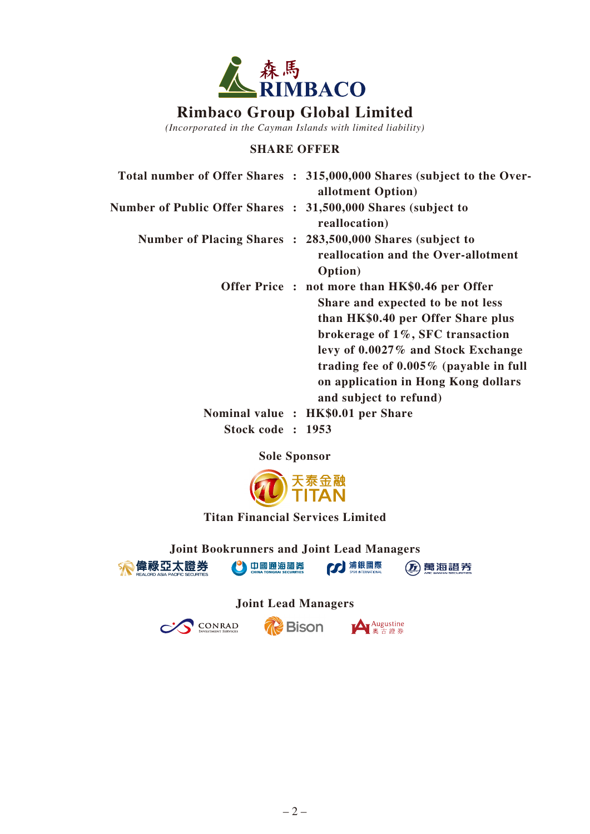

*(Incorporated in the Cayman Islands with limited liability)*

## **SHARE OFFER**

|                                                               | Total number of Offer Shares : 315,000,000 Shares (subject to the Over-                                                                                                                                                                                                                                              |
|---------------------------------------------------------------|----------------------------------------------------------------------------------------------------------------------------------------------------------------------------------------------------------------------------------------------------------------------------------------------------------------------|
|                                                               | allotment Option)                                                                                                                                                                                                                                                                                                    |
| Number of Public Offer Shares : 31,500,000 Shares (subject to | reallocation)                                                                                                                                                                                                                                                                                                        |
|                                                               | Number of Placing Shares : 283,500,000 Shares (subject to<br>reallocation and the Over-allotment<br><b>Option</b> )                                                                                                                                                                                                  |
|                                                               | Offer Price: not more than HK\$0.46 per Offer<br>Share and expected to be not less<br>than HK\$0.40 per Offer Share plus<br>brokerage of $1\%$ , SFC transaction<br>levy of 0.0027% and Stock Exchange<br>trading fee of $0.005\%$ (payable in full<br>on application in Hong Kong dollars<br>and subject to refund) |
|                                                               | Nominal value : HK\$0.01 per Share                                                                                                                                                                                                                                                                                   |
| Stock code: 1953                                              |                                                                                                                                                                                                                                                                                                                      |

**Sole Sponsor**



**Titan Financial Services Limited**

**Joint Bookrunners and Joint Lead Managers** 「神障禄亞太證券 **CC** 浦銀國際 ● 中國通海護券

(五)萬海證券

**Joint Lead Managers**

CONRAD



**A** Augustine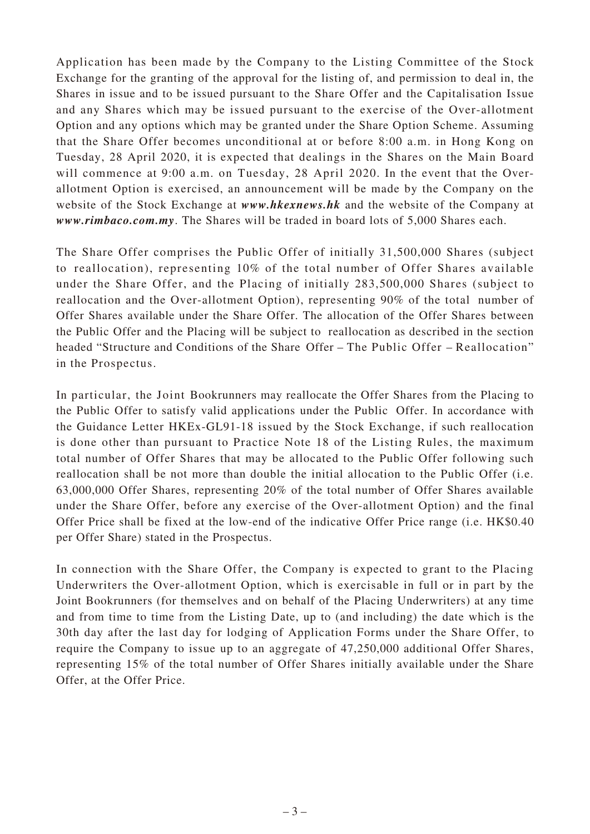Application has been made by the Company to the Listing Committee of the Stock Exchange for the granting of the approval for the listing of, and permission to deal in, the Shares in issue and to be issued pursuant to the Share Offer and the Capitalisation Issue and any Shares which may be issued pursuant to the exercise of the Over-allotment Option and any options which may be granted under the Share Option Scheme. Assuming that the Share Offer becomes unconditional at or before 8:00 a.m. in Hong Kong on Tuesday, 28 April 2020, it is expected that dealings in the Shares on the Main Board will commence at 9:00 a.m. on Tuesday, 28 April 2020. In the event that the Overallotment Option is exercised, an announcement will be made by the Company on the website of the Stock Exchange at *www.hkexnews.hk* and the website of the Company at *www.rimbaco.com.my*. The Shares will be traded in board lots of 5,000 Shares each.

The Share Offer comprises the Public Offer of initially 31,500,000 Shares (subject to reallocation), representing 10% of the total number of Offer Shares available under the Share Offer, and the Placing of initially 283,500,000 Shares (subject to reallocation and the Over-allotment Option), representing 90% of the total number of Offer Shares available under the Share Offer. The allocation of the Offer Shares between the Public Offer and the Placing will be subject to reallocation as described in the section headed "Structure and Conditions of the Share Offer – The Public Offer – Reallocation" in the Prospectus.

In particular, the Joint Bookrunners may reallocate the Offer Shares from the Placing to the Public Offer to satisfy valid applications under the Public Offer. In accordance with the Guidance Letter HKEx-GL91-18 issued by the Stock Exchange, if such reallocation is done other than pursuant to Practice Note 18 of the Listing Rules, the maximum total number of Offer Shares that may be allocated to the Public Offer following such reallocation shall be not more than double the initial allocation to the Public Offer (i.e. 63,000,000 Offer Shares, representing 20% of the total number of Offer Shares available under the Share Offer, before any exercise of the Over-allotment Option) and the final Offer Price shall be fixed at the low-end of the indicative Offer Price range (i.e. HK\$0.40 per Offer Share) stated in the Prospectus.

In connection with the Share Offer, the Company is expected to grant to the Placing Underwriters the Over-allotment Option, which is exercisable in full or in part by the Joint Bookrunners (for themselves and on behalf of the Placing Underwriters) at any time and from time to time from the Listing Date, up to (and including) the date which is the 30th day after the last day for lodging of Application Forms under the Share Offer, to require the Company to issue up to an aggregate of 47,250,000 additional Offer Shares, representing 15% of the total number of Offer Shares initially available under the Share Offer, at the Offer Price.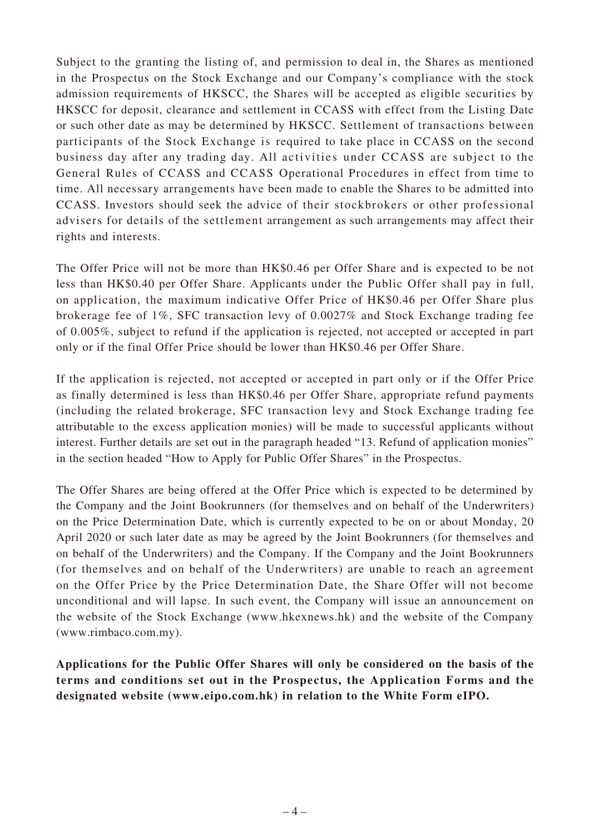Subject to the granting the listing of, and permission to deal in, the Shares as mentioned in the Prospectus on the Stock Exchange and our Company's compliance with the stock admission requirements of HKSCC, the Shares will be accepted as eligible securities by HKSCC for deposit, clearance and settlement in CCASS with effect from the Listing Date or such other date as may be determined by HKSCC. Settlement of transactions between participants of the Stock Exchange is required to take place in CCASS on the second business day after any trading day. All activities under CCASS are subject to the General Rules of CCASS and CCASS Operational Procedures in effect from time to time. All necessary arrangements have been made to enable the Shares to be admitted into CCASS. Investors should seek the advice of their stockbrokers or other professional advisers for details of the settlement arrangement as such arrangements may affect their rights and interests.

The Offer Price will not be more than HK\$0.46 per Offer Share and is expected to be not less than HK\$0.40 per Offer Share. Applicants under the Public Offer shall pay in full, on application, the maximum indicative Offer Price of HK\$0.46 per Offer Share plus brokerage fee of 1%, SFC transaction levy of 0.0027% and Stock Exchange trading fee of 0.005%, subject to refund if the application is rejected, not accepted or accepted in part only or if the final Offer Price should be lower than HK\$0.46 per Offer Share.

If the application is rejected, not accepted or accepted in part only or if the Offer Price as finally determined is less than HK\$0.46 per Offer Share, appropriate refund payments (including the related brokerage, SFC transaction levy and Stock Exchange trading fee attributable to the excess application monies) will be made to successful applicants without interest. Further details are set out in the paragraph headed "13. Refund of application monies" in the section headed "How to Apply for Public Offer Shares" in the Prospectus.

The Offer Shares are being offered at the Offer Price which is expected to be determined by the Company and the Joint Bookrunners (for themselves and on behalf of the Underwriters) on the Price Determination Date, which is currently expected to be on or about Monday, 20 April 2020 or such later date as may be agreed by the Joint Bookrunners (for themselves and on behalf of the Underwriters) and the Company. If the Company and the Joint Bookrunners (for themselves and on behalf of the Underwriters) are unable to reach an agreement on the Offer Price by the Price Determination Date, the Share Offer will not become unconditional and will lapse. In such event, the Company will issue an announcement on the website of the Stock Exchange (www.hkexnews.hk) and the website of the Company (www.rimbaco.com.my).

**Applications for the Public Offer Shares will only be considered on the basis of the terms and conditions set out in the Prospectus, the Application Forms and the designated website (www.eipo.com.hk) in relation to the White Form eIPO.**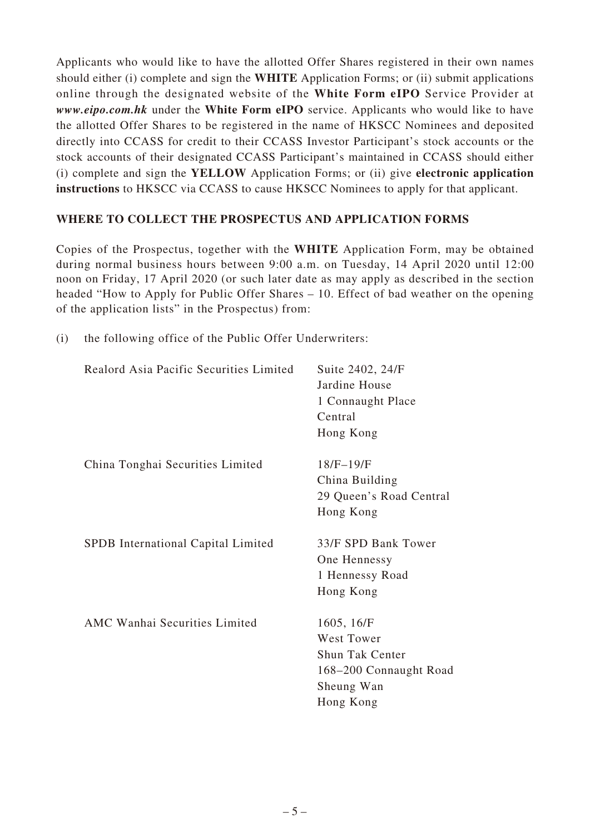Applicants who would like to have the allotted Offer Shares registered in their own names should either (i) complete and sign the **WHITE** Application Forms; or (ii) submit applications online through the designated website of the **White Form eIPO** Service Provider at *[www.eipo.com.hk](http://www.hkeipo.hk/)* under the **White Form eIPO** service. Applicants who would like to have the allotted Offer Shares to be registered in the name of HKSCC Nominees and deposited directly into CCASS for credit to their CCASS Investor Participant's stock accounts or the stock accounts of their designated CCASS Participant's maintained in CCASS should either (i) complete and sign the **YELLOW** Application Forms; or (ii) give **electronic application instructions** to HKSCC via CCASS to cause HKSCC Nominees to apply for that applicant.

## **WHERE TO COLLECT THE PROSPECTUS AND APPLICATION FORMS**

Copies of the Prospectus, together with the **WHITE** Application Form, may be obtained during normal business hours between 9:00 a.m. on Tuesday, 14 April 2020 until 12:00 noon on Friday, 17 April 2020 (or such later date as may apply as described in the section headed "How to Apply for Public Offer Shares – 10. Effect of bad weather on the opening of the application lists" in the Prospectus) from:

(i) the following office of the Public Offer Underwriters:

| Realord Asia Pacific Securities Limited | Suite 2402, 24/F<br>Jardine House<br>1 Connaught Place<br>Central<br>Hong Kong                                 |
|-----------------------------------------|----------------------------------------------------------------------------------------------------------------|
| China Tonghai Securities Limited        | $18/F-19/F$<br>China Building<br>29 Queen's Road Central<br>Hong Kong                                          |
| SPDB International Capital Limited      | 33/F SPD Bank Tower<br>One Hennessy<br>1 Hennessy Road<br>Hong Kong                                            |
| AMC Wanhai Securities Limited           | 1605, 16/F<br><b>West Tower</b><br><b>Shun Tak Center</b><br>168-200 Connaught Road<br>Sheung Wan<br>Hong Kong |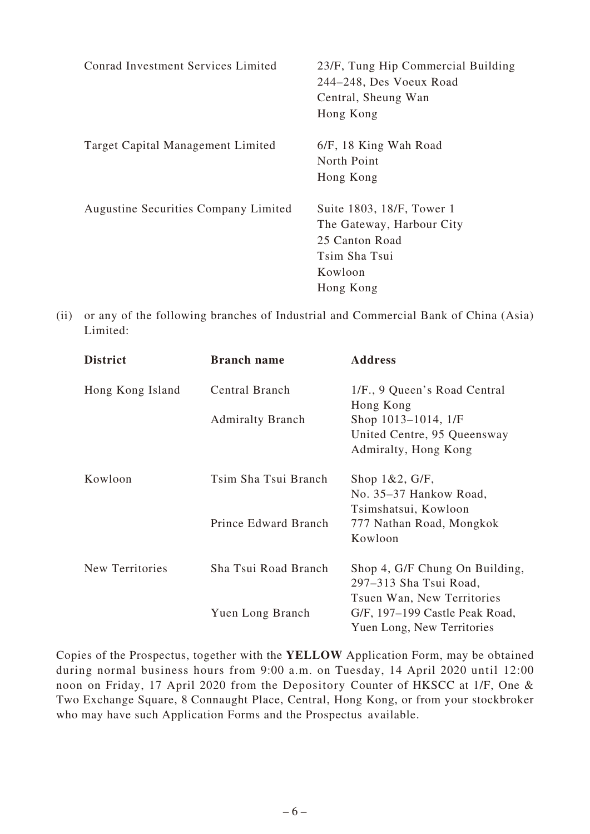| Conrad Investment Services Limited          | 23/F, Tung Hip Commercial Building<br>244–248, Des Voeux Road<br>Central, Sheung Wan<br>Hong Kong                 |
|---------------------------------------------|-------------------------------------------------------------------------------------------------------------------|
| Target Capital Management Limited           | 6/F, 18 King Wah Road<br>North Point<br>Hong Kong                                                                 |
| <b>Augustine Securities Company Limited</b> | Suite 1803, 18/F, Tower 1<br>The Gateway, Harbour City<br>25 Canton Road<br>Tsim Sha Tsui<br>Kowloon<br>Hong Kong |

(ii) or any of the following branches of Industrial and Commercial Bank of China (Asia) Limited:

| <b>District</b>  | <b>Branch name</b>      | <b>Address</b>                 |
|------------------|-------------------------|--------------------------------|
| Hong Kong Island | Central Branch          | 1/F., 9 Queen's Road Central   |
|                  |                         | Hong Kong                      |
|                  | <b>Admiralty Branch</b> | Shop 1013–1014, 1/F            |
|                  |                         | United Centre, 95 Queensway    |
|                  |                         | Admiralty, Hong Kong           |
| Kowloon          | Tsim Sha Tsui Branch    | Shop $1\&2$ , $G/F$ ,          |
|                  |                         | No. 35–37 Hankow Road,         |
|                  |                         | Tsimshatsui, Kowloon           |
|                  | Prince Edward Branch    | 777 Nathan Road, Mongkok       |
|                  |                         | Kowloon                        |
| New Territories  | Sha Tsui Road Branch    | Shop 4, G/F Chung On Building, |
|                  |                         | 297-313 Sha Tsui Road,         |
|                  |                         | Tsuen Wan, New Territories     |
|                  | Yuen Long Branch        | G/F, 197–199 Castle Peak Road, |
|                  |                         | Yuen Long, New Territories     |

Copies of the Prospectus, together with the **YELLOW** Application Form, may be obtained during normal business hours from 9:00 a.m. on Tuesday, 14 April 2020 until 12:00 noon on Friday, 17 April 2020 from the Depository Counter of HKSCC at 1/F, One & Two Exchange Square, 8 Connaught Place, Central, Hong Kong, or from your stockbroker who may have such Application Forms and the Prospectus available.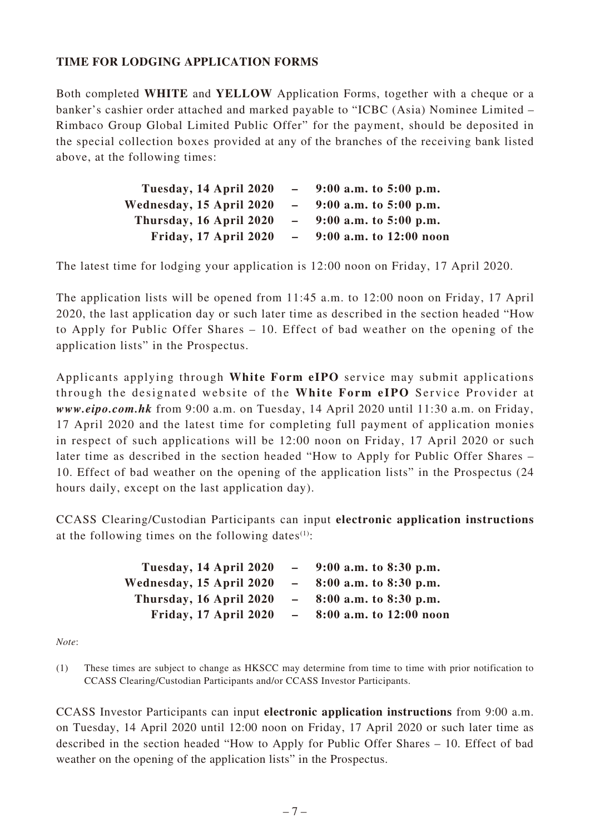## **TIME FOR LODGING APPLICATION FORMS**

Both completed **WHITE** and **YELLOW** Application Forms, together with a cheque or a banker's cashier order attached and marked payable to "ICBC (Asia) Nominee Limited – Rimbaco Group Global Limited Public Offer" for the payment, should be deposited in the special collection boxes provided at any of the branches of the receiving bank listed above, at the following times:

| Tuesday, 14 April 2020   | $\overline{\phantom{m}}$ | $9:00$ a.m. to $5:00$ p.m.  |
|--------------------------|--------------------------|-----------------------------|
| Wednesday, 15 April 2020 | $\qquad \qquad -$        | $9:00$ a.m. to $5:00$ p.m.  |
| Thursday, 16 April 2020  |                          | $9:00$ a.m. to $5:00$ p.m.  |
| Friday, 17 April 2020    | $\overline{\phantom{0}}$ | $9:00$ a.m. to $12:00$ noon |

The latest time for lodging your application is 12:00 noon on Friday, 17 April 2020.

The application lists will be opened from 11:45 a.m. to 12:00 noon on Friday, 17 April 2020, the last application day or such later time as described in the section headed "How to Apply for Public Offer Shares – 10. Effect of bad weather on the opening of the application lists" in the Prospectus.

Applicants applying through **White Form eIPO** service may submit applications through the designated website of the **White Form eIPO** Service Provider at *www.eipo.com.hk* from 9:00 a.m. on Tuesday, 14 April 2020 until 11:30 a.m. on Friday, 17 April 2020 and the latest time for completing full payment of application monies in respect of such applications will be 12:00 noon on Friday, 17 April 2020 or such later time as described in the section headed "How to Apply for Public Offer Shares – 10. Effect of bad weather on the opening of the application lists" in the Prospectus (24 hours daily, except on the last application day).

CCASS Clearing/Custodian Participants can input **electronic application instructions**  at the following times on the following dates $(1)$ :

| Tuesday, 14 April 2020   | $-$ | $9:00$ a.m. to $8:30$ p.m. |
|--------------------------|-----|----------------------------|
| Wednesday, 15 April 2020 |     | $8:00$ a.m. to $8:30$ p.m. |
| Thursday, 16 April 2020  |     | 8:00 a.m. to 8:30 p.m.     |
| Friday, 17 April 2020    |     | 8:00 a.m. to 12:00 noon    |

*Note*:

(1) These times are subject to change as HKSCC may determine from time to time with prior notification to CCASS Clearing/Custodian Participants and/or CCASS Investor Participants.

CCASS Investor Participants can input **electronic application instructions** from 9:00 a.m. on Tuesday, 14 April 2020 until 12:00 noon on Friday, 17 April 2020 or such later time as described in the section headed "How to Apply for Public Offer Shares – 10. Effect of bad weather on the opening of the application lists" in the Prospectus.